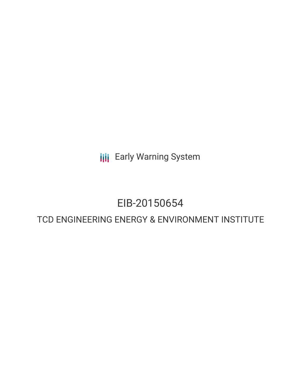**III** Early Warning System

# EIB-20150654

# TCD ENGINEERING ENERGY & ENVIRONMENT INSTITUTE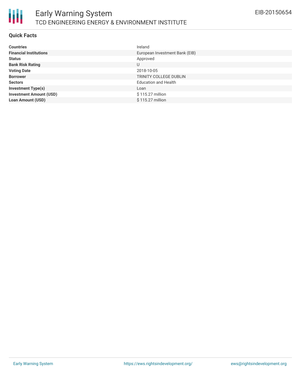

#### **Quick Facts**

| <b>Countries</b>               | Ireland                        |
|--------------------------------|--------------------------------|
| <b>Financial Institutions</b>  | European Investment Bank (EIB) |
| <b>Status</b>                  | Approved                       |
| <b>Bank Risk Rating</b>        | U                              |
| <b>Voting Date</b>             | 2018-10-05                     |
| <b>Borrower</b>                | TRINITY COLLEGE DUBLIN         |
| <b>Sectors</b>                 | <b>Education and Health</b>    |
| <b>Investment Type(s)</b>      | Loan                           |
| <b>Investment Amount (USD)</b> | \$115.27 million               |
| <b>Loan Amount (USD)</b>       | \$115.27 million               |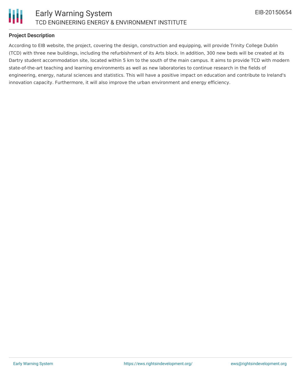

### **Project Description**

According to EIB website, the project, covering the design, construction and equipping, will provide Trinity College Dublin (TCD) with three new buildings, including the refurbishment of its Arts block. In addition, 300 new beds will be created at its Dartry student accommodation site, located within 5 km to the south of the main campus. It aims to provide TCD with modern state-of-the-art teaching and learning environments as well as new laboratories to continue research in the fields of engineering, energy, natural sciences and statistics. This will have a positive impact on education and contribute to Ireland's innovation capacity. Furthermore, it will also improve the urban environment and energy efficiency.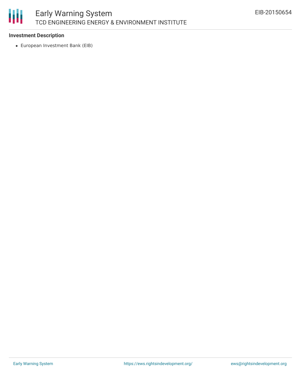

### **Investment Description**

European Investment Bank (EIB)